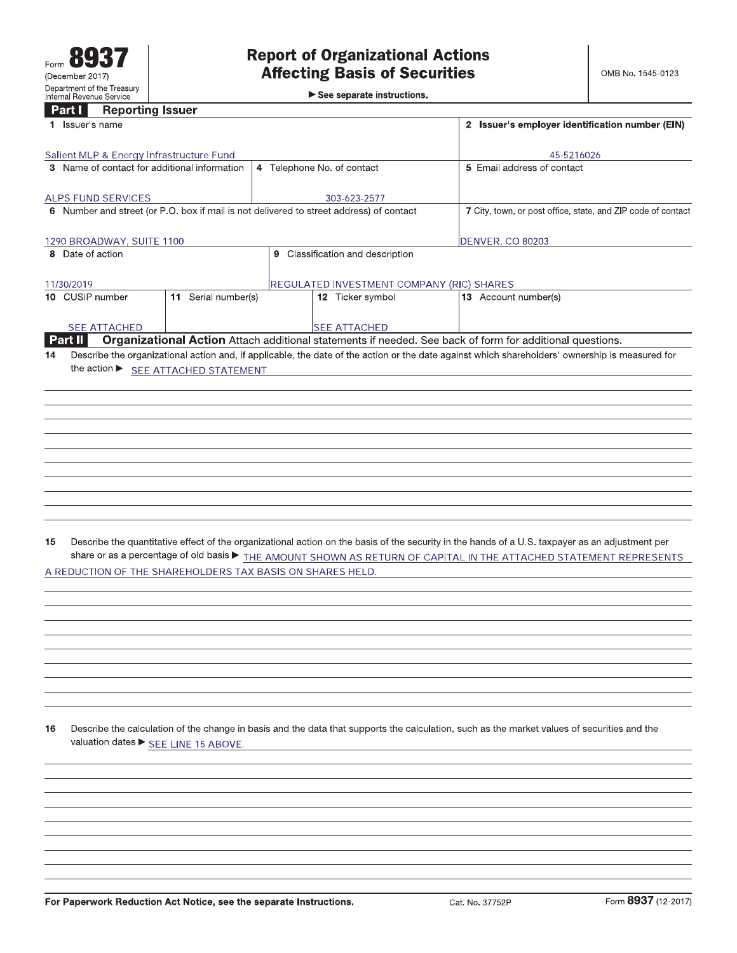See separate instructions.

|    | <b>Reporting Issuer</b><br><b>Part</b> I                  |                     |                         |                                                                                         |                                                                                                                                                 |
|----|-----------------------------------------------------------|---------------------|-------------------------|-----------------------------------------------------------------------------------------|-------------------------------------------------------------------------------------------------------------------------------------------------|
|    | 1 <b>Issuer</b> s name                                    |                     |                         |                                                                                         | 2 Issuer's employer identification number (EIN)                                                                                                 |
|    | Salient MLP & Energy Infrastructure Fund                  |                     |                         |                                                                                         | 45-5216026                                                                                                                                      |
|    | 3 Name of contact for additional information              |                     |                         | 4 Telephone No. of contact                                                              | 5 Email address of contact                                                                                                                      |
|    | ALPS FUND SERVICES                                        |                     |                         | 303-623-2577                                                                            |                                                                                                                                                 |
|    |                                                           |                     |                         | 6 Number and street (or P.O. box if mail is not delivered to street address) of contact | 7 City, town, or post office, state, and ZIP code of contact                                                                                    |
|    | 1290 BROADWAY, SUITE 1100                                 |                     | <b>DENVER, CO 80203</b> |                                                                                         |                                                                                                                                                 |
|    | 8 Date of action                                          |                     |                         | 9 Classification and description                                                        |                                                                                                                                                 |
|    |                                                           |                     |                         |                                                                                         |                                                                                                                                                 |
|    | 11/30/2019                                                |                     |                         | REGULATED INVESTMENT COMPANY (RIC) SHARES                                               |                                                                                                                                                 |
|    | 10 CUSIP number                                           | 11 Serial number(s) |                         | 12 Ticker symbol                                                                        | <b>13</b> Account number(s)                                                                                                                     |
|    | <b>SEE ATTACHED</b>                                       |                     |                         | <b>SEE ATTACHED</b>                                                                     |                                                                                                                                                 |
|    | Part II                                                   |                     |                         |                                                                                         | Organizational Action Attach additional statements if needed. See back of form for additional questions.                                        |
| 14 |                                                           |                     |                         |                                                                                         | Describe the organizational action and, if applicable, the date of the action or the date against which shareholders' ownership is measured for |
|    | the action ▶ SEE ATTACHED STATEMENT                       |                     |                         |                                                                                         |                                                                                                                                                 |
|    |                                                           |                     |                         |                                                                                         |                                                                                                                                                 |
|    |                                                           |                     |                         |                                                                                         |                                                                                                                                                 |
|    |                                                           |                     |                         |                                                                                         |                                                                                                                                                 |
|    |                                                           |                     |                         |                                                                                         |                                                                                                                                                 |
|    |                                                           |                     |                         |                                                                                         |                                                                                                                                                 |
|    |                                                           |                     |                         |                                                                                         |                                                                                                                                                 |
|    |                                                           |                     |                         |                                                                                         |                                                                                                                                                 |
|    |                                                           |                     |                         |                                                                                         |                                                                                                                                                 |
|    |                                                           |                     |                         |                                                                                         |                                                                                                                                                 |
|    |                                                           |                     |                         |                                                                                         |                                                                                                                                                 |
| 15 |                                                           |                     |                         |                                                                                         | Describe the quantitative effect of the organizational action on the basis of the security in the hands of a U.S. taxpayer as an adjustment per |
|    |                                                           |                     |                         |                                                                                         | share or as a percentage of old basis $\blacktriangleright$ THE AMOUNT SHOWN AS RETURN OF CAPITAL IN THE ATTACHED STATEMENT REPRESENTS          |
|    | A REDUCTION OF THE SHAREHOLDERS TAX BASIS ON SHARES HELD. |                     |                         |                                                                                         |                                                                                                                                                 |
|    |                                                           |                     |                         |                                                                                         |                                                                                                                                                 |
|    |                                                           |                     |                         |                                                                                         |                                                                                                                                                 |
|    |                                                           |                     |                         |                                                                                         |                                                                                                                                                 |
|    |                                                           |                     |                         |                                                                                         |                                                                                                                                                 |
|    |                                                           |                     |                         |                                                                                         |                                                                                                                                                 |
|    |                                                           |                     |                         |                                                                                         |                                                                                                                                                 |
|    |                                                           |                     |                         |                                                                                         |                                                                                                                                                 |
|    |                                                           |                     |                         |                                                                                         |                                                                                                                                                 |
|    |                                                           |                     |                         |                                                                                         |                                                                                                                                                 |
| 16 | valuation dates ▶ SEE LINE 15 ABOVE.                      |                     |                         |                                                                                         | Describe the calculation of the change in basis and the data that supports the calculation, such as the market values of securities and the     |
|    |                                                           |                     |                         |                                                                                         |                                                                                                                                                 |
|    |                                                           |                     |                         |                                                                                         |                                                                                                                                                 |
|    |                                                           |                     |                         |                                                                                         |                                                                                                                                                 |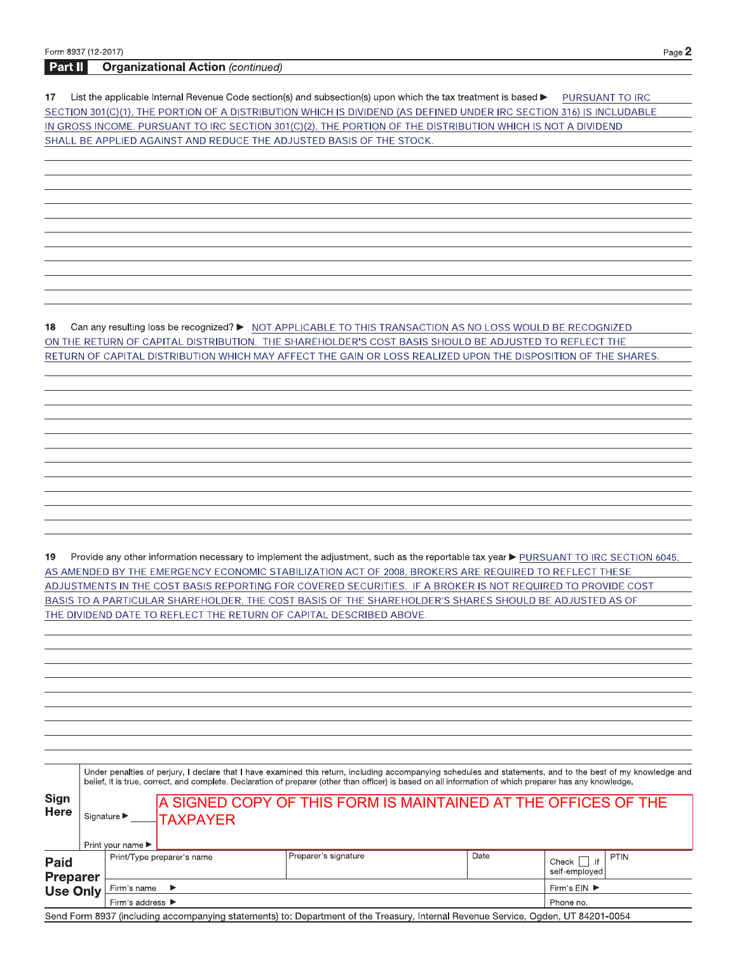| <b>Organizational Action (continued)</b><br>Part II                                                                                                         |  |
|-------------------------------------------------------------------------------------------------------------------------------------------------------------|--|
|                                                                                                                                                             |  |
| List the applicable Internal Revenue Code section(s) and subsection(s) upon which the tax treatment is based $\blacktriangleright$<br>17<br>PURSUANT TO IRC |  |
| SECTION 301(C)(1), THE PORTION OF A DISTRIBUTION WHICH IS DIVIDEND (AS DEFINED UNDER IRC SECTION 316) IS INCLUDABLE                                         |  |
| IN GROSS INCOME. PURSUANT TO IRC SECTION 301(C)(2), THE PORTION OF THE DISTRIBUTION WHICH IS NOT A DIVIDEND                                                 |  |
| SHALL BE APPLIED AGAINST AND REDUCE THE ADJUSTED BASIS OF THE STOCK.                                                                                        |  |
|                                                                                                                                                             |  |
|                                                                                                                                                             |  |
|                                                                                                                                                             |  |
|                                                                                                                                                             |  |
|                                                                                                                                                             |  |
|                                                                                                                                                             |  |
|                                                                                                                                                             |  |
|                                                                                                                                                             |  |
|                                                                                                                                                             |  |
|                                                                                                                                                             |  |
|                                                                                                                                                             |  |
|                                                                                                                                                             |  |
| 18<br>Can any resulting loss be recognized? ▶ NOT APPLICABLE TO THIS TRANSACTION AS NO LOSS WOULD BE RECOGNIZED                                             |  |
| ON THE RETURN OF CAPITAL DISTRIBUTION. THE SHAREHOLDER'S COST BASIS SHOULD BE ADJUSTED TO REFLECT THE                                                       |  |
| RETURN OF CAPITAL DISTRIBUTION WHICH MAY AFFECT THE GAIN OR LOSS REALIZED UPON THE DISPOSITION OF THE SHARES.                                               |  |
|                                                                                                                                                             |  |
|                                                                                                                                                             |  |
|                                                                                                                                                             |  |
|                                                                                                                                                             |  |
|                                                                                                                                                             |  |
|                                                                                                                                                             |  |
|                                                                                                                                                             |  |
|                                                                                                                                                             |  |
|                                                                                                                                                             |  |
|                                                                                                                                                             |  |
|                                                                                                                                                             |  |
|                                                                                                                                                             |  |
|                                                                                                                                                             |  |
|                                                                                                                                                             |  |
| Provide any other information necessary to implement the adjustment, such as the reportable tax year > PURSUANT TO IRC SECTION 6045,<br>19                  |  |
| AS AMENDED BY THE EMERGENCY ECONOMIC STABILIZATION ACT OF 2008, BROKERS ARE REQUIRED TO REFLECT THESE                                                       |  |
| ADJUSTMENTS IN THE COST BASIS REPORTING FOR COVERED SECURITIES. IF A BROKER IS NOT REQUIRED TO PROVIDE COST                                                 |  |
| BASIS TO A PARTICULAR SHAREHOLDER, THE COST BASIS OF THE SHAREHOLDER'S SHARES SHOULD BE ADJUSTED AS OF                                                      |  |
| THE DIVIDEND DATE TO REFLECT THE RETURN OF CAPITAL DESCRIBED ABOVE.                                                                                         |  |
|                                                                                                                                                             |  |

|                                |                                                                      |                                       |                            | Under penalties of perjury, I declare that I have examined this return, including accompanying schedules and statements, and to the best of my knowledge and<br>belief, it is true, correct, and complete. Declaration of preparer (other than officer) is based on all information of which preparer has any knowledge. |      |                                                      |  |  |
|--------------------------------|----------------------------------------------------------------------|---------------------------------------|----------------------------|--------------------------------------------------------------------------------------------------------------------------------------------------------------------------------------------------------------------------------------------------------------------------------------------------------------------------|------|------------------------------------------------------|--|--|
| Sign<br><b>Here</b>            | Signature $\blacktriangleright$                                      |                                       | $\lnot$ TAXPAYER           | A SIGNED COPY OF THIS FORM IS MAINTAINED AT THE OFFICES OF THE                                                                                                                                                                                                                                                           |      |                                                      |  |  |
| <b>Paid</b><br><b>Preparer</b> |                                                                      | Print your name $\blacktriangleright$ | Print/Type preparer's name | Preparer's signature                                                                                                                                                                                                                                                                                                     | Date | PTIN<br>$\ddot{\bullet}$<br>Check  <br>self-emploved |  |  |
| <b>Use Only</b>                | Firm s name<br>$\rightarrow$<br>Firm s address $\blacktriangleright$ |                                       |                            |                                                                                                                                                                                                                                                                                                                          |      |                                                      |  |  |

Page  $2$ 

Send Form 8937 (including accompanying statements) to: Department of the Treasury, Internal Revenue Service, Ogden, UT 84201-0054